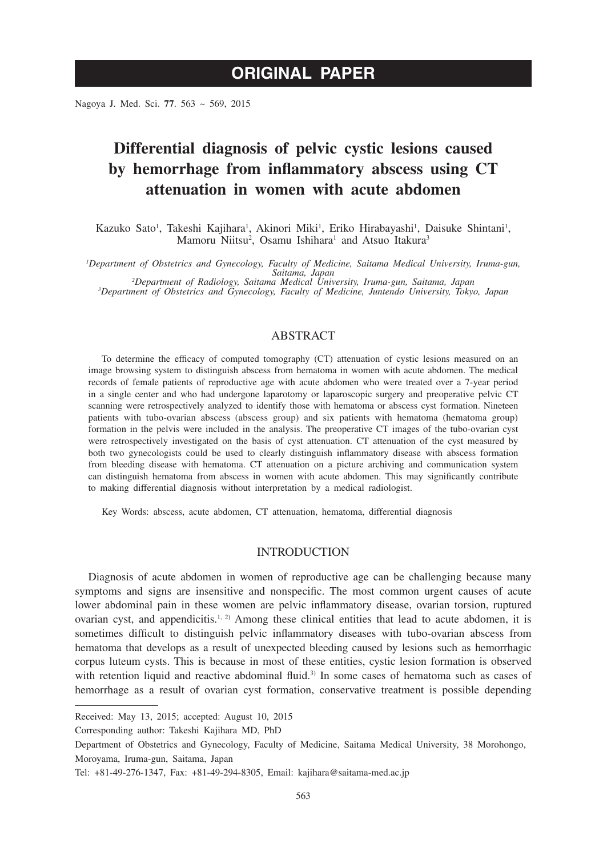Nagoya J. Med. Sci. **77**. 563 ~ 569, 2015

# **Differential diagnosis of pelvic cystic lesions caused by hemorrhage from inflammatory abscess using CT attenuation in women with acute abdomen**

Kazuko Sato<sup>1</sup>, Takeshi Kajihara<sup>1</sup>, Akinori Miki<sup>1</sup>, Eriko Hirabayashi<sup>1</sup>, Daisuke Shintani<sup>1</sup>, Mamoru Niitsu<sup>2</sup>, Osamu Ishihara<sup>1</sup> and Atsuo Itakura<sup>3</sup>

*1 Department of Obstetrics and Gynecology, Faculty of Medicine, Saitama Medical University, Iruma-gun, Saitama, Japan <sup>2</sup> Department of Radiology, Saitama Medical University, Iruma-gun, Saitama, Japan <sup>3</sup>*

*Department of Obstetrics and Gynecology, Faculty of Medicine, Juntendo University, Tokyo, Japan*

# ABSTRACT

To determine the efficacy of computed tomography (CT) attenuation of cystic lesions measured on an image browsing system to distinguish abscess from hematoma in women with acute abdomen. The medical records of female patients of reproductive age with acute abdomen who were treated over a 7-year period in a single center and who had undergone laparotomy or laparoscopic surgery and preoperative pelvic CT scanning were retrospectively analyzed to identify those with hematoma or abscess cyst formation. Nineteen patients with tubo-ovarian abscess (abscess group) and six patients with hematoma (hematoma group) formation in the pelvis were included in the analysis. The preoperative CT images of the tubo-ovarian cyst were retrospectively investigated on the basis of cyst attenuation. CT attenuation of the cyst measured by both two gynecologists could be used to clearly distinguish inflammatory disease with abscess formation from bleeding disease with hematoma. CT attenuation on a picture archiving and communication system can distinguish hematoma from abscess in women with acute abdomen. This may significantly contribute to making differential diagnosis without interpretation by a medical radiologist.

Key Words: abscess, acute abdomen, CT attenuation, hematoma, differential diagnosis

# INTRODUCTION

Diagnosis of acute abdomen in women of reproductive age can be challenging because many symptoms and signs are insensitive and nonspecific. The most common urgent causes of acute lower abdominal pain in these women are pelvic inflammatory disease, ovarian torsion, ruptured ovarian cyst, and appendicitis.<sup>1, 2)</sup> Among these clinical entities that lead to acute abdomen, it is sometimes difficult to distinguish pelvic inflammatory diseases with tubo-ovarian abscess from hematoma that develops as a result of unexpected bleeding caused by lesions such as hemorrhagic corpus luteum cysts. This is because in most of these entities, cystic lesion formation is observed with retention liquid and reactive abdominal fluid.<sup>3)</sup> In some cases of hematoma such as cases of hemorrhage as a result of ovarian cyst formation, conservative treatment is possible depending

Corresponding author: Takeshi Kajihara MD, PhD

Received: May 13, 2015; accepted: August 10, 2015

Department of Obstetrics and Gynecology, Faculty of Medicine, Saitama Medical University, 38 Morohongo, Moroyama, Iruma-gun, Saitama, Japan

Tel: +81-49-276-1347, Fax: +81-49-294-8305, Email: kajihara@saitama-med.ac.jp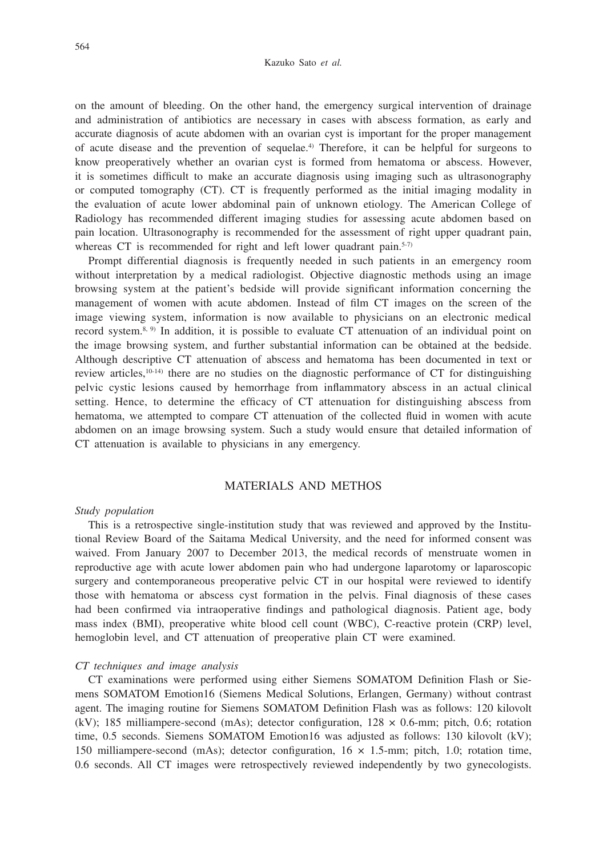on the amount of bleeding. On the other hand, the emergency surgical intervention of drainage and administration of antibiotics are necessary in cases with abscess formation, as early and accurate diagnosis of acute abdomen with an ovarian cyst is important for the proper management of acute disease and the prevention of sequelae.4) Therefore, it can be helpful for surgeons to know preoperatively whether an ovarian cyst is formed from hematoma or abscess. However, it is sometimes difficult to make an accurate diagnosis using imaging such as ultrasonography or computed tomography (CT). CT is frequently performed as the initial imaging modality in the evaluation of acute lower abdominal pain of unknown etiology. The American College of Radiology has recommended different imaging studies for assessing acute abdomen based on pain location. Ultrasonography is recommended for the assessment of right upper quadrant pain, whereas CT is recommended for right and left lower quadrant pain.<sup>5-7)</sup>

Prompt differential diagnosis is frequently needed in such patients in an emergency room without interpretation by a medical radiologist. Objective diagnostic methods using an image browsing system at the patient's bedside will provide significant information concerning the management of women with acute abdomen. Instead of film CT images on the screen of the image viewing system, information is now available to physicians on an electronic medical record system.<sup>8, 9)</sup> In addition, it is possible to evaluate CT attenuation of an individual point on the image browsing system, and further substantial information can be obtained at the bedside. Although descriptive CT attenuation of abscess and hematoma has been documented in text or review articles,10-14) there are no studies on the diagnostic performance of CT for distinguishing pelvic cystic lesions caused by hemorrhage from inflammatory abscess in an actual clinical setting. Hence, to determine the efficacy of CT attenuation for distinguishing abscess from hematoma, we attempted to compare CT attenuation of the collected fluid in women with acute abdomen on an image browsing system. Such a study would ensure that detailed information of CT attenuation is available to physicians in any emergency.

# MATERIALS AND METHOS

#### *Study population*

This is a retrospective single-institution study that was reviewed and approved by the Institutional Review Board of the Saitama Medical University, and the need for informed consent was waived. From January 2007 to December 2013, the medical records of menstruate women in reproductive age with acute lower abdomen pain who had undergone laparotomy or laparoscopic surgery and contemporaneous preoperative pelvic CT in our hospital were reviewed to identify those with hematoma or abscess cyst formation in the pelvis. Final diagnosis of these cases had been confirmed via intraoperative findings and pathological diagnosis. Patient age, body mass index (BMI), preoperative white blood cell count (WBC), C-reactive protein (CRP) level, hemoglobin level, and CT attenuation of preoperative plain CT were examined.

## *CT techniques and image analysis*

CT examinations were performed using either Siemens SOMATOM Definition Flash or Siemens SOMATOM Emotion16 (Siemens Medical Solutions, Erlangen, Germany) without contrast agent. The imaging routine for Siemens SOMATOM Definition Flash was as follows: 120 kilovolt (kV); 185 milliampere-second (mAs); detector configuration,  $128 \times 0.6$ -mm; pitch, 0.6; rotation time, 0.5 seconds. Siemens SOMATOM Emotion16 was adjusted as follows: 130 kilovolt (kV); 150 milliampere-second (mAs); detector configuration,  $16 \times 1.5$ -mm; pitch, 1.0; rotation time, 0.6 seconds. All CT images were retrospectively reviewed independently by two gynecologists.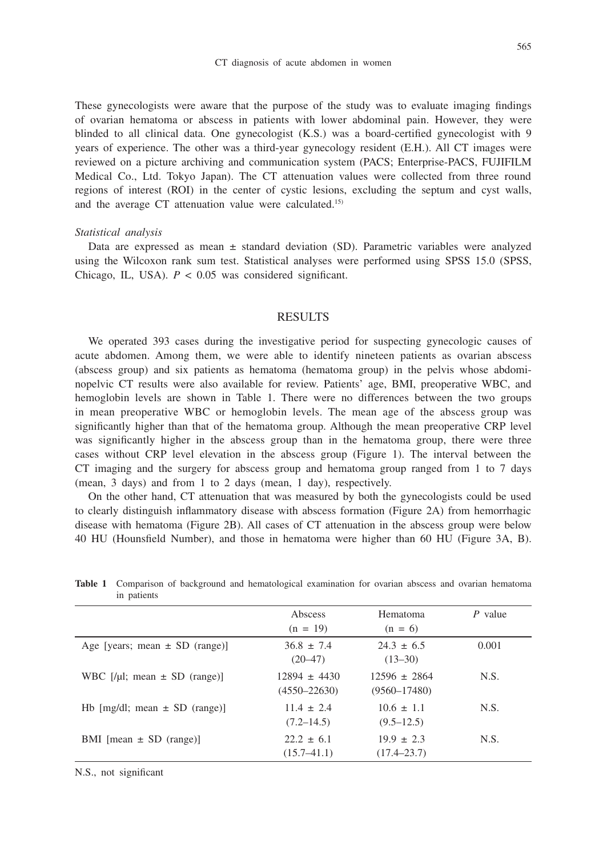These gynecologists were aware that the purpose of the study was to evaluate imaging findings of ovarian hematoma or abscess in patients with lower abdominal pain. However, they were blinded to all clinical data. One gynecologist (K.S.) was a board-certified gynecologist with 9 years of experience. The other was a third-year gynecology resident (E.H.). All CT images were reviewed on a picture archiving and communication system (PACS; Enterprise-PACS, FUJIFILM Medical Co., Ltd. Tokyo Japan). The CT attenuation values were collected from three round regions of interest (ROI) in the center of cystic lesions, excluding the septum and cyst walls, and the average CT attenuation value were calculated.15)

#### *Statistical analysis*

Data are expressed as mean  $\pm$  standard deviation (SD). Parametric variables were analyzed using the Wilcoxon rank sum test. Statistical analyses were performed using SPSS 15.0 (SPSS, Chicago, IL, USA).  $P < 0.05$  was considered significant.

## RESULTS

We operated 393 cases during the investigative period for suspecting gynecologic causes of acute abdomen. Among them, we were able to identify nineteen patients as ovarian abscess (abscess group) and six patients as hematoma (hematoma group) in the pelvis whose abdominopelvic CT results were also available for review. Patients' age, BMI, preoperative WBC, and hemoglobin levels are shown in Table 1. There were no differences between the two groups in mean preoperative WBC or hemoglobin levels. The mean age of the abscess group was significantly higher than that of the hematoma group. Although the mean preoperative CRP level was significantly higher in the abscess group than in the hematoma group, there were three cases without CRP level elevation in the abscess group (Figure 1). The interval between the CT imaging and the surgery for abscess group and hematoma group ranged from 1 to 7 days (mean, 3 days) and from 1 to 2 days (mean, 1 day), respectively.

On the other hand, CT attenuation that was measured by both the gynecologists could be used to clearly distinguish inflammatory disease with abscess formation (Figure 2A) from hemorrhagic disease with hematoma (Figure 2B). All cases of CT attenuation in the abscess group were below 40 HU (Hounsfield Number), and those in hematoma were higher than 60 HU (Figure 3A, B).

| III pauvins                         |                  |                  |           |
|-------------------------------------|------------------|------------------|-----------|
|                                     | Abscess          | Hematoma         | $P$ value |
|                                     | $(n = 19)$       | $(n = 6)$        |           |
| Age [years; mean $\pm$ SD (range)]  | $36.8 \pm 7.4$   | $24.3 \pm 6.5$   | 0.001     |
|                                     | $(20-47)$        | $(13-30)$        |           |
| WBC $[1]$ ; mean $\pm$ SD (range)]  | $12894 \pm 4430$ | $12596 \pm 2864$ | N.S.      |
|                                     | $(4550 - 22630)$ | $(9560 - 17480)$ |           |
| Hb $[mg/dl;$ mean $\pm$ SD (range)] | $11.4 + 2.4$     | $10.6 + 1.1$     | N.S.      |
|                                     | $(7.2 - 14.5)$   | $(9.5 - 12.5)$   |           |
| BMI [mean $\pm$ SD (range)]         | $22.2 \pm 6.1$   | $19.9 \pm 2.3$   | N.S.      |
|                                     | $(15.7 - 41.1)$  | $(17.4 - 23.7)$  |           |

**Table 1** Comparison of background and hematological examination for ovarian abscess and ovarian hematoma in patients

N.S., not significant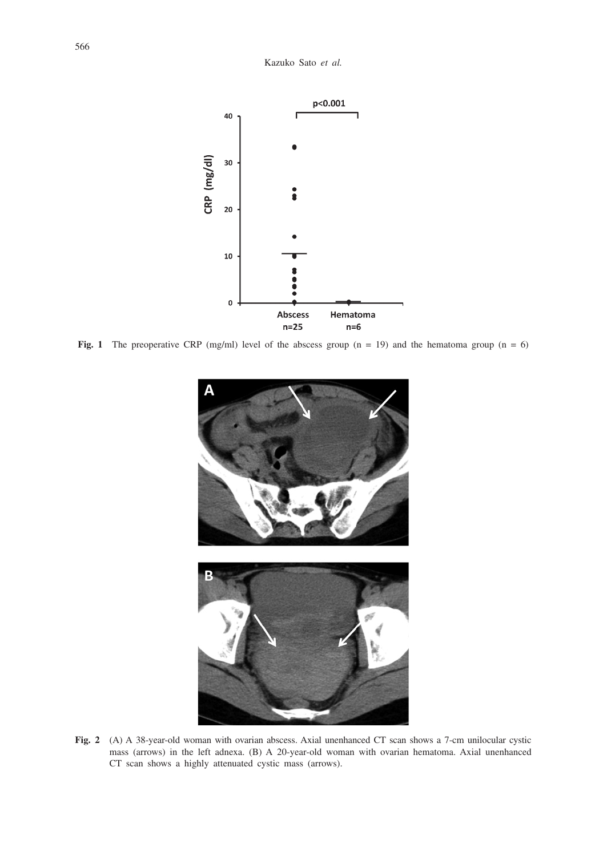

**Fig. 1** The preoperative CRP (mg/ml) level of the abscess group ( $n = 19$ ) and the hematoma group ( $n = 6$ )



**Fig. 2** (A) A 38-year-old woman with ovarian abscess. Axial unenhanced CT scan shows a 7-cm unilocular cystic mass (arrows) in the left adnexa. (B) A 20-year-old woman with ovarian hematoma. Axial unenhanced CT scan shows a highly attenuated cystic mass (arrows).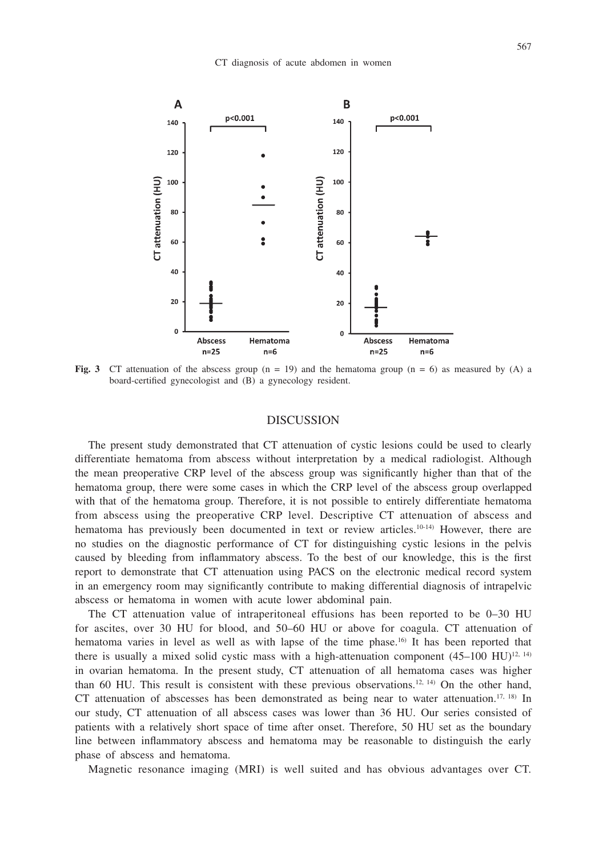

**Fig. 3** CT attenuation of the abscess group  $(n = 19)$  and the hematoma group  $(n = 6)$  as measured by  $(A)$  a board-certified gynecologist and (B) a gynecology resident.

## DISCUSSION

The present study demonstrated that CT attenuation of cystic lesions could be used to clearly differentiate hematoma from abscess without interpretation by a medical radiologist. Although the mean preoperative CRP level of the abscess group was significantly higher than that of the hematoma group, there were some cases in which the CRP level of the abscess group overlapped with that of the hematoma group. Therefore, it is not possible to entirely differentiate hematoma from abscess using the preoperative CRP level. Descriptive CT attenuation of abscess and hematoma has previously been documented in text or review articles.<sup>10-14)</sup> However, there are no studies on the diagnostic performance of CT for distinguishing cystic lesions in the pelvis caused by bleeding from inflammatory abscess. To the best of our knowledge, this is the first report to demonstrate that CT attenuation using PACS on the electronic medical record system in an emergency room may significantly contribute to making differential diagnosis of intrapelvic abscess or hematoma in women with acute lower abdominal pain.

The CT attenuation value of intraperitoneal effusions has been reported to be 0–30 HU for ascites, over 30 HU for blood, and 50–60 HU or above for coagula. CT attenuation of hematoma varies in level as well as with lapse of the time phase.<sup>16</sup> It has been reported that there is usually a mixed solid cystic mass with a high-attenuation component  $(45-100 \text{ HU})^{12,14}$ in ovarian hematoma. In the present study, CT attenuation of all hematoma cases was higher than 60 HU. This result is consistent with these previous observations.12, 14) On the other hand, CT attenuation of abscesses has been demonstrated as being near to water attenuation.<sup>17, 18)</sup> In our study, CT attenuation of all abscess cases was lower than 36 HU. Our series consisted of patients with a relatively short space of time after onset. Therefore, 50 HU set as the boundary line between inflammatory abscess and hematoma may be reasonable to distinguish the early phase of abscess and hematoma.

Magnetic resonance imaging (MRI) is well suited and has obvious advantages over CT.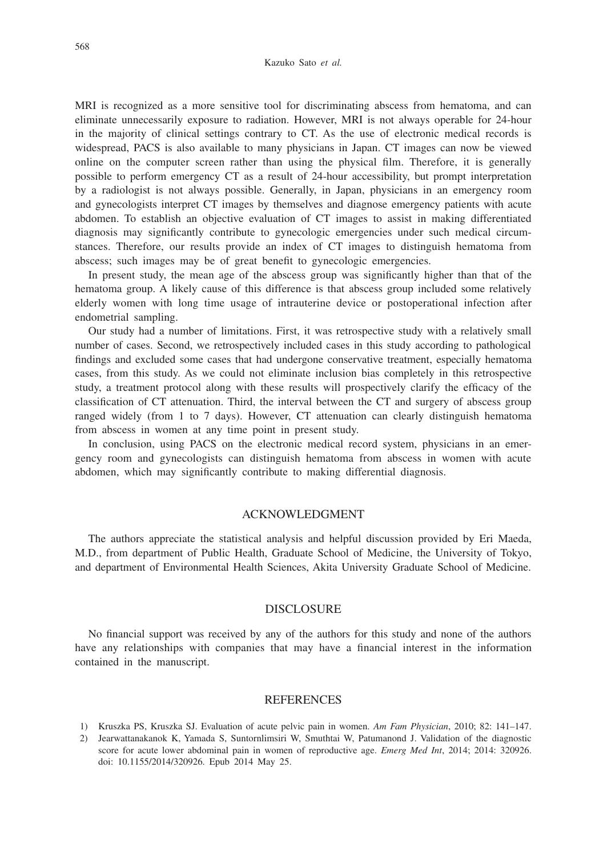MRI is recognized as a more sensitive tool for discriminating abscess from hematoma, and can eliminate unnecessarily exposure to radiation. However, MRI is not always operable for 24-hour in the majority of clinical settings contrary to CT. As the use of electronic medical records is widespread, PACS is also available to many physicians in Japan. CT images can now be viewed online on the computer screen rather than using the physical film. Therefore, it is generally possible to perform emergency CT as a result of 24-hour accessibility, but prompt interpretation by a radiologist is not always possible. Generally, in Japan, physicians in an emergency room and gynecologists interpret CT images by themselves and diagnose emergency patients with acute abdomen. To establish an objective evaluation of CT images to assist in making differentiated diagnosis may significantly contribute to gynecologic emergencies under such medical circumstances. Therefore, our results provide an index of CT images to distinguish hematoma from abscess; such images may be of great benefit to gynecologic emergencies.

In present study, the mean age of the abscess group was significantly higher than that of the hematoma group. A likely cause of this difference is that abscess group included some relatively elderly women with long time usage of intrauterine device or postoperational infection after endometrial sampling.

Our study had a number of limitations. First, it was retrospective study with a relatively small number of cases. Second, we retrospectively included cases in this study according to pathological findings and excluded some cases that had undergone conservative treatment, especially hematoma cases, from this study. As we could not eliminate inclusion bias completely in this retrospective study, a treatment protocol along with these results will prospectively clarify the efficacy of the classification of CT attenuation. Third, the interval between the CT and surgery of abscess group ranged widely (from 1 to 7 days). However, CT attenuation can clearly distinguish hematoma from abscess in women at any time point in present study.

In conclusion, using PACS on the electronic medical record system, physicians in an emergency room and gynecologists can distinguish hematoma from abscess in women with acute abdomen, which may significantly contribute to making differential diagnosis.

## ACKNOWLEDGMENT

The authors appreciate the statistical analysis and helpful discussion provided by Eri Maeda, M.D., from department of Public Health, Graduate School of Medicine, the University of Tokyo, and department of Environmental Health Sciences, Akita University Graduate School of Medicine.

## DISCLOSURE

No financial support was received by any of the authors for this study and none of the authors have any relationships with companies that may have a financial interest in the information contained in the manuscript.

## **REFERENCES**

- 1) Kruszka PS, Kruszka SJ. Evaluation of acute pelvic pain in women. *Am Fam Physician*, 2010; 82: 141–147.
- 2) Jearwattanakanok K, Yamada S, Suntornlimsiri W, Smuthtai W, Patumanond J. Validation of the diagnostic score for acute lower abdominal pain in women of reproductive age. *Emerg Med Int*, 2014; 2014: 320926. doi: 10.1155/2014/320926. Epub 2014 May 25.